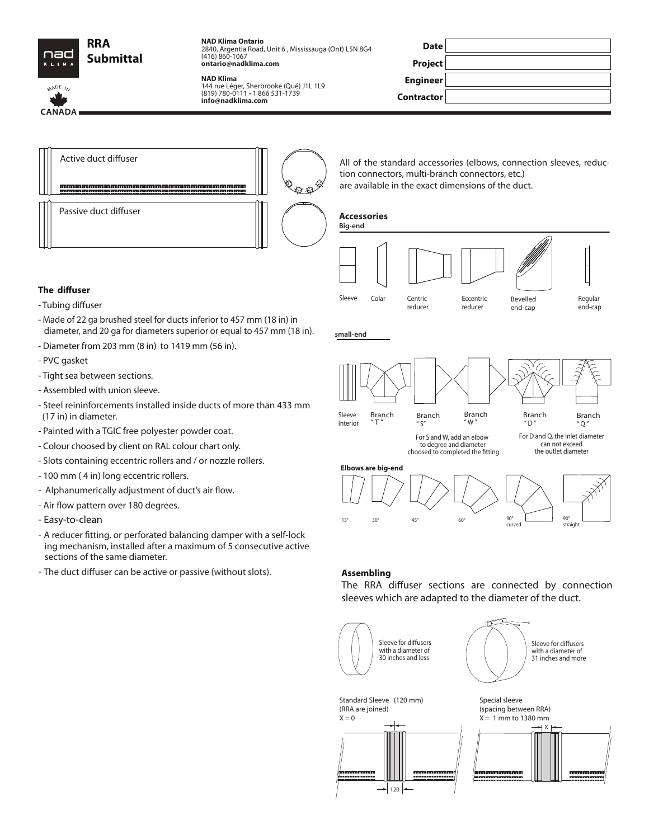

MADE IN

CANADA

**NAD Klima Ontario** 2840, Argentia Road, Unit 6 , Mississauga (Ont) L5N 8G4 (416) 860-1067 **ontario@nadklima.com**

#### **NAD Klima**

144 rue Léger, Sherbrooke (Qué) J1L 1L9 (819) 780-0111 • 1 866 531-1739 **info@nadklima.com**

| <b>Date</b>     |  |
|-----------------|--|
| Project         |  |
| <b>Engineer</b> |  |
| Contractor      |  |



All of the standard accessories (elbows, connection sleeves, reduction connectors, multi-branch connectors, etc.) are available in the exact dimensions of the duct.

## **Accessories**

**small-end**



### **The diffuser**

- Tubing diffuser
- Made of 22 ga brushed steel for ducts inferior to 457 mm (18 in) in diameter, and 20 ga for diameters superior or equal to 457 mm (18 in).
- Diameter from 203 mm (8 in) to 1419 mm (56 in).
- PVC gasket
- Tight sea between sections.
- Assembled with union sleeve.
- Steel reininforcements installed inside ducts of more than 433 mm (17 in) in diameter.
- Painted with a TGIC free polyester powder coat.
- Colour choosed by client on RAL colour chart only.
- Slots containing eccentric rollers and / or nozzle rollers.
- 100 mm ( 4 in) long eccentric rollers.
- Alphanumerically adjustment of duct's air flow.
- Air flow pattern over 180 degrees.
- Easy-to-clean
- A reducer fitting, or perforated balancing damper with a self-lock ing mechanism, installed after a maximum of 5 consecutive active sections of the same diameter.
- The duct diffuser can be active or passive (without slots).



## **Assembling**

The RRA diffuser sections are connected by connection sleeves which are adapted to the diameter of the duct.

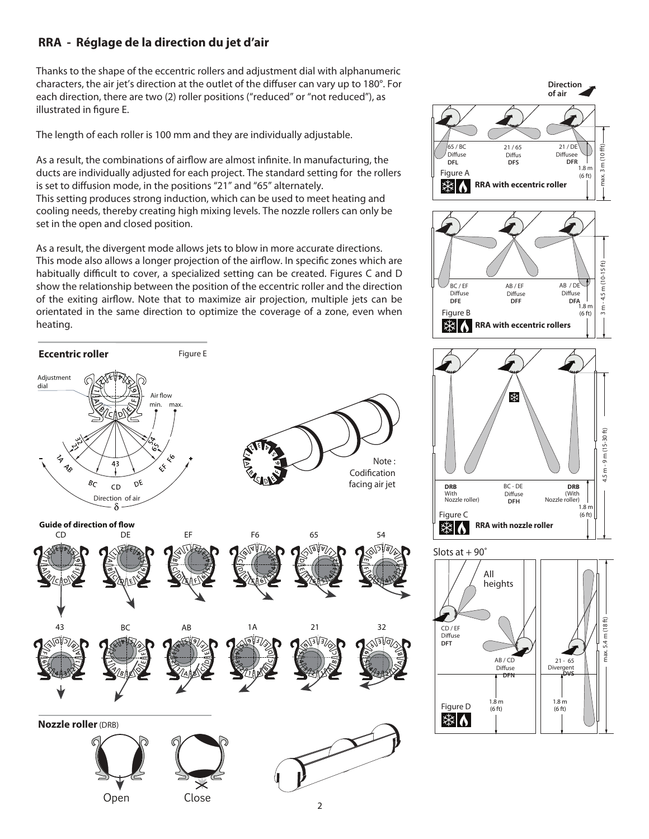# **RRA - Réglage de la direction du jet d'air**

Thanks to the shape of the eccentric rollers and adjustment dial with alphanumeric characters, the air jet's direction at the outlet of the diffuser can vary up to 180°. For each direction, there are two (2) roller positions ("reduced" or "not reduced"), as illustrated in figure E.

The length of each roller is 100 mm and they are individually adjustable.

As a result, the combinations of airflow are almost infinite. In manufacturing, the ducts are individually adjusted for each project. The standard setting for the rollers is set to diffusion mode, in the positions "21" and "65" alternately. This setting produces strong induction, which can be used to meet heating and cooling needs, thereby creating high mixing levels. The nozzle rollers can only be set in the open and closed position.

As a result, the divergent mode allows jets to blow in more accurate directions. This mode also allows a longer projection of the airflow. In specific zones which are habitually difficult to cover, a specialized setting can be created. Figures C and D show the relationship between the position of the eccentric roller and the direction of the exiting airflow. Note that to maximize air projection, multiple jets can be orientated in the same direction to optimize the coverage of a zone, even when heating.





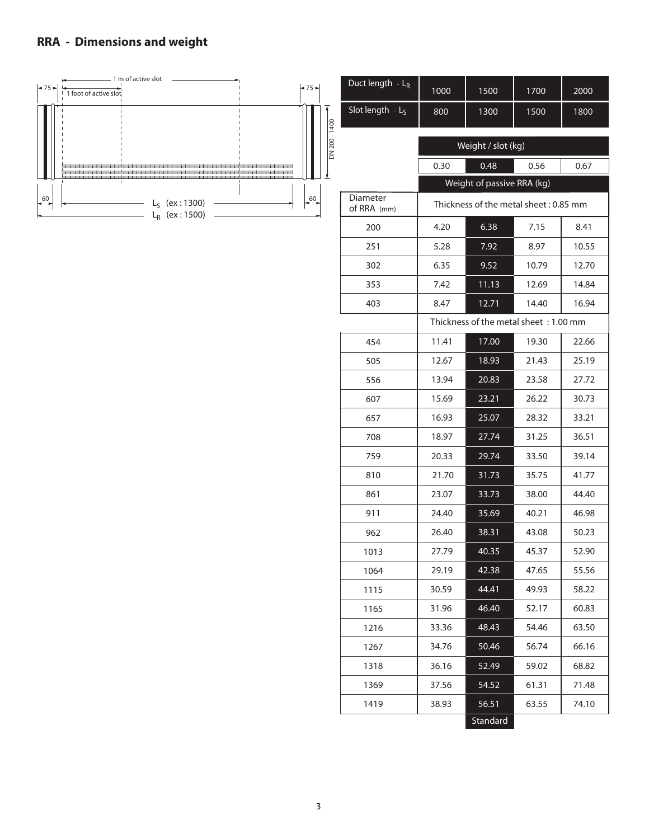## **RRA - Dimensions and weight**

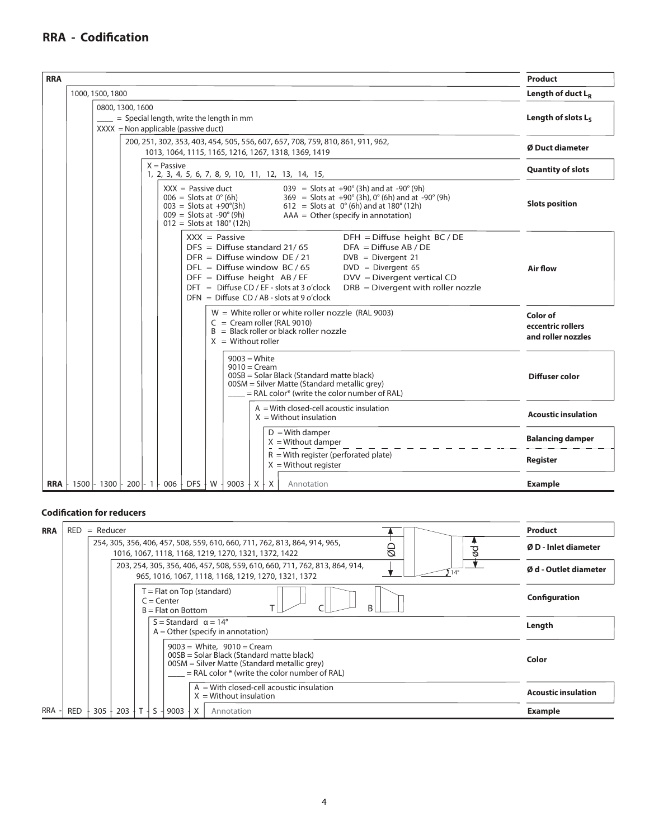# **RRA - Codification**

| <b>RRA</b> |                                                                                                       |                                 |  |  |                      |                      |  |                                                                                                                                                          |  |                                                                                                                                                                                                                                    |                                                                                                                                                                                                                     | <b>Product</b>                                      |
|------------|-------------------------------------------------------------------------------------------------------|---------------------------------|--|--|----------------------|----------------------|--|----------------------------------------------------------------------------------------------------------------------------------------------------------|--|------------------------------------------------------------------------------------------------------------------------------------------------------------------------------------------------------------------------------------|---------------------------------------------------------------------------------------------------------------------------------------------------------------------------------------------------------------------|-----------------------------------------------------|
|            |                                                                                                       | 1000, 1500, 1800                |  |  |                      |                      |  |                                                                                                                                                          |  | Length of duct $L_R$                                                                                                                                                                                                               |                                                                                                                                                                                                                     |                                                     |
|            | 0800, 1300, 1600<br>= Special length, write the length in mm<br>$XXX = Non applicable (passive duct)$ |                                 |  |  |                      |                      |  | Length of slots L <sub>S</sub>                                                                                                                           |  |                                                                                                                                                                                                                                    |                                                                                                                                                                                                                     |                                                     |
|            |                                                                                                       |                                 |  |  |                      |                      |  |                                                                                                                                                          |  | 200, 251, 302, 353, 403, 454, 505, 556, 607, 657, 708, 759, 810, 861, 911, 962,<br>1013, 1064, 1115, 1165, 1216, 1267, 1318, 1369, 1419                                                                                            |                                                                                                                                                                                                                     | Ø Duct diameter                                     |
|            |                                                                                                       |                                 |  |  | $X = \text{Passive}$ |                      |  |                                                                                                                                                          |  | 1, 2, 3, 4, 5, 6, 7, 8, 9, 10, 11, 12, 13, 14, 15,                                                                                                                                                                                 |                                                                                                                                                                                                                     | <b>Quantity of slots</b>                            |
|            |                                                                                                       |                                 |  |  |                      | $XXX =$ Passive duct |  | $006 =$ Slots at $0^{\circ}$ (6h)<br>$003 = S$ lots at $+90^{\circ}(3h)$<br>$009 =$ Slots at -90 $^{\circ}$ (9h)<br>$012 =$ Slots at $180^{\circ}$ (12h) |  |                                                                                                                                                                                                                                    | $039 =$ Slots at $+90^{\circ}$ (3h) and at $-90^{\circ}$ (9h)<br>$369 =$ Slots at +90° (3h), 0° (6h) and at -90° (9h)<br>612 = Slots at $0^{\circ}$ (6h) and at 180° (12h)<br>$AAA = Other$ (specify in annotation) | <b>Slots position</b>                               |
|            |                                                                                                       |                                 |  |  |                      |                      |  | $XXX = \text{Passive}$                                                                                                                                   |  | $DFS = Diffuse standard 21/65$<br>$DFR = Diffuse window DE / 21$<br>$DFL = Diffuse window BC / 65$<br>$DFF = Diffuse height AB/EF$<br>$DFT = Diffuse CD / EF - slots at 3 o'clock$<br>$DFN = Diffuse CD / AB - slots at 9 o'clock$ | $DFH = Diffuse height BC / DE$<br>$DFA = Diffuse AB / DE$<br>$DVB = Divergent 21$<br>$DVD = Divergent 65$<br>$DVV = Divergent vertical CD$<br>$DRB = Divergent$ with roller nozzle                                  | Air flow                                            |
|            |                                                                                                       |                                 |  |  |                      |                      |  | $X =$ Without roller                                                                                                                                     |  | $W =$ White roller or white roller nozzle (RAL 9003)<br>$C = C$ ream roller (RAL 9010)<br>$B = Black$ roller or black roller nozzle                                                                                                |                                                                                                                                                                                                                     | Color of<br>eccentric rollers<br>and roller nozzles |
|            |                                                                                                       |                                 |  |  |                      |                      |  | $9003 = White$<br>$9010 = C$ ream                                                                                                                        |  | 00SB = Solar Black (Standard matte black)<br>00SM = Silver Matte (Standard metallic grey)<br>$=$ RAL color <sup>*</sup> (write the color number of RAL)                                                                            |                                                                                                                                                                                                                     | Diffuser color                                      |
|            |                                                                                                       |                                 |  |  |                      |                      |  |                                                                                                                                                          |  | $A = With closed-cell acoustic insulation$<br>$X =$ Without insulation                                                                                                                                                             |                                                                                                                                                                                                                     | <b>Acoustic insulation</b>                          |
|            |                                                                                                       |                                 |  |  |                      |                      |  |                                                                                                                                                          |  | $D = With damper$<br>$X = Without damper$                                                                                                                                                                                          |                                                                                                                                                                                                                     | <b>Balancing damper</b>                             |
|            |                                                                                                       |                                 |  |  |                      |                      |  |                                                                                                                                                          |  | $R =$ With register (perforated plate)<br>$X = Without register$                                                                                                                                                                   |                                                                                                                                                                                                                     | Register                                            |
| <b>RRA</b> |                                                                                                       | ⊦ 1500 ⊦ 1300 ⊦ 200 ⊦ 1 ⊦ 006 ∔ |  |  |                      | $DFS + W$            |  | 9003 $+$ X $+$ X                                                                                                                                         |  | Annotation                                                                                                                                                                                                                         |                                                                                                                                                                                                                     | <b>Example</b>                                      |

## **Codification for reducers**

| <b>RRA</b> | RED<br>$=$ Reducer | <b>Product</b>        |             |                                                                                                                                                                                  |                            |
|------------|--------------------|-----------------------|-------------|----------------------------------------------------------------------------------------------------------------------------------------------------------------------------------|----------------------------|
|            |                    | Ø D - Inlet diameter  |             |                                                                                                                                                                                  |                            |
|            |                    | Ø d - Outlet diameter |             |                                                                                                                                                                                  |                            |
|            |                    |                       |             | $T =$ Flat on Top (standard)<br>$C =$ Center<br><sub>R</sub><br>$B = Flat$ on Bottom                                                                                             | Configuration              |
|            |                    |                       |             | $S =$ Standard $\alpha = 14^{\circ}$<br>$A =$ Other (specify in annotation)                                                                                                      | Length                     |
|            |                    |                       |             | $9003 =$ White, $9010 =$ Cream<br>00SB = Solar Black (Standard matte black)<br>00SM = Silver Matte (Standard metallic grey)<br>$=$ RAL color $*$ (write the color number of RAL) | Color                      |
|            |                    |                       |             | $A = With closed-cell acoustic insulation$<br>$X =$ Without insulation                                                                                                           | <b>Acoustic insulation</b> |
| <b>RRA</b> | <b>RED</b>         | 305                   | $203 + T +$ | ŀΧ<br>$S -$<br>$9003 +$<br>Annotation                                                                                                                                            | <b>Example</b>             |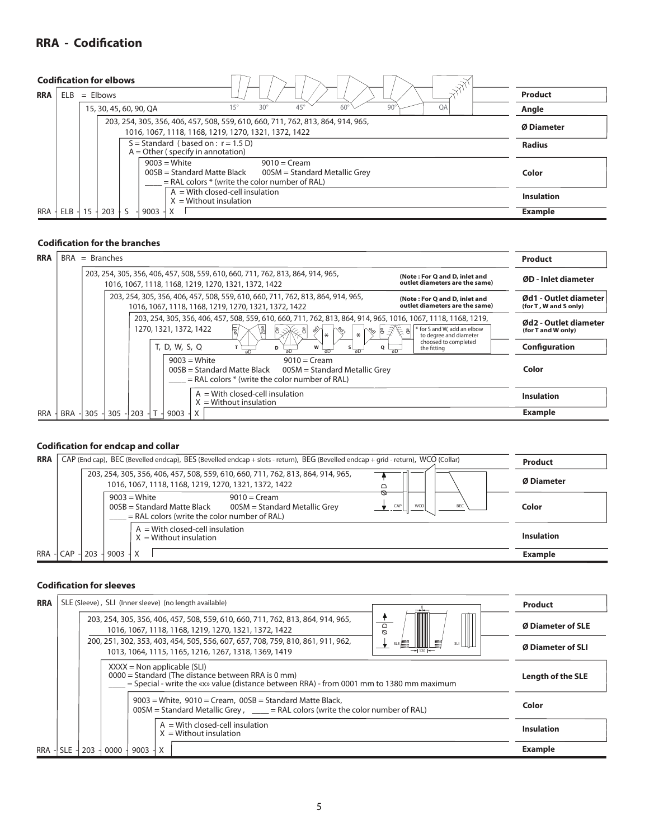# **RRA - Codification**

| <b>Codification for elbows</b> |         |        |            |                                                                                                                                                           |                   |
|--------------------------------|---------|--------|------------|-----------------------------------------------------------------------------------------------------------------------------------------------------------|-------------------|
| <b>RRA</b>                     | ELB     |        | $=$ Elbows | $\mathcal{A}^{\mathcal{A}^{\mathcal{X}}}$                                                                                                                 | Product           |
|                                |         |        |            | $45^{\circ}$<br>OA<br>$15^{\circ}$<br>$30^{\circ}$<br>90<br>60 <sup>o</sup><br>15, 30, 45, 60, 90, QA                                                     | Angle             |
|                                |         |        |            | 203, 254, 305, 356, 406, 457, 508, 559, 610, 660, 711, 762, 813, 864, 914, 965,<br>1016, 1067, 1118, 1168, 1219, 1270, 1321, 1372, 1422                   | <b>Ø Diameter</b> |
|                                |         |        |            | $S =$ Standard (based on : $r = 1.5$ D)<br>$A =$ Other (specify in annotation)                                                                            | <b>Radius</b>     |
|                                |         |        |            | $9003 =$ White<br>$9010 = C$ ream<br>$00SB = Standard Matte Black$<br>00SM = Standard Metallic Grey<br>$=$ RAL colors $*$ (write the color number of RAL) | Color             |
|                                |         |        |            | $A = With closed-cell insulation$<br>$X =$ Without insulation                                                                                             | <b>Insulation</b> |
| <b>RRA</b>                     | $ELB -$ | $15 -$ | $203 +$    | $9003 -$<br>X                                                                                                                                             | <b>Example</b>    |

## **Codification for the branches**

| <b>RRA</b> |            | $BRA = Branches$ |         |                                                                                                                                                                                                            |  |                        |   |  |                                                                                                                                         |   |                 |                      |                               |                    |             |                                                                 |  | Product                                        |
|------------|------------|------------------|---------|------------------------------------------------------------------------------------------------------------------------------------------------------------------------------------------------------------|--|------------------------|---|--|-----------------------------------------------------------------------------------------------------------------------------------------|---|-----------------|----------------------|-------------------------------|--------------------|-------------|-----------------------------------------------------------------|--|------------------------------------------------|
|            |            |                  |         | 203, 254, 305, 356, 406, 457, 508, 559, 610, 660, 711, 762, 813, 864, 914, 965,<br>(Note: For Q and D, inlet and<br>outlet diameters are the same)<br>1016, 1067, 1118, 1168, 1219, 1270, 1321, 1372, 1422 |  |                        |   |  |                                                                                                                                         |   |                 |                      | ØD - Inlet diameter           |                    |             |                                                                 |  |                                                |
|            |            |                  |         |                                                                                                                                                                                                            |  |                        |   |  | 203, 254, 305, 356, 406, 457, 508, 559, 610, 660, 711, 762, 813, 864, 914, 965,<br>1016, 1067, 1118, 1168, 1219, 1270, 1321, 1372, 1422 |   |                 |                      |                               |                    |             | (Note: For Q and D, inlet and<br>outlet diameters are the same) |  | Ød1 - Outlet diameter<br>(for T, W and S only) |
|            |            |                  |         |                                                                                                                                                                                                            |  | 1270, 1321, 1372, 1422 |   |  | 203, 254, 305, 356, 406, 457, 508, 559, 610, 660, 711, 762, 813, 864, 914, 965, 1016, 1067, 1118, 1168, 1219,<br>ड़ि                    |   |                 | I∗                   | $*$                           | $\sqrt[6]{\alpha}$ |             | * for S and W, add an elbow<br>to degree and diameter           |  | Ød2 - Outlet diameter<br>(for T and W only)    |
|            |            |                  |         |                                                                                                                                                                                                            |  | T, D, W, S, Q          |   |  |                                                                                                                                         | D |                 | W<br>$\overline{aD}$ | $\overline{aD}$               | $\circ$            | the fitting | choosed to completed                                            |  | Configuration                                  |
|            |            |                  |         |                                                                                                                                                                                                            |  | $9003$ = White         |   |  | $00SB = Standard Matte Black$<br>$=$ RAL colors $*$ (write the color number of RAL)                                                     |   | $9010 = C$ ream |                      | 00SM = Standard Metallic Grey |                    |             |                                                                 |  | Color                                          |
|            |            |                  |         |                                                                                                                                                                                                            |  |                        |   |  | $A = With closed-cell insulation$<br>$X =$ Without insulation                                                                           |   |                 |                      |                               |                    |             |                                                                 |  | <b>Insulation</b>                              |
| <b>RRA</b> | <b>BRA</b> | $305 -$          | $305 -$ | $203 -$                                                                                                                                                                                                    |  | 9003                   | X |  |                                                                                                                                         |   |                 |                      |                               |                    |             |                                                                 |  | <b>Example</b>                                 |

## **Codification for endcap and collar**

| <b>RRA</b> |             |                   |      | CAP (End cap), BEC (Bevelled endcap), BES (Bevelled endcap + slots - return), BEG (Bevelled endcap + grid - return), WCO (Collar)                                                      | <b>Product</b>    |
|------------|-------------|-------------------|------|----------------------------------------------------------------------------------------------------------------------------------------------------------------------------------------|-------------------|
|            |             | <b>Ø Diameter</b> |      |                                                                                                                                                                                        |                   |
|            |             |                   |      | ∾<br>$9003$ = White<br>$9010 = C$ ream<br>CAP<br>WCO<br>$00SB = Standard Matte Black$<br>00SM = Standard Metallic Grey<br><b>BEC</b><br>$=$ RAL colors (write the color number of RAL) | Color             |
|            |             |                   |      | $A = With closed-cell insulation$<br>$X =$ Without insulation                                                                                                                          | <b>Insulation</b> |
|            | RRA - CAP - | 203               | 9003 | X                                                                                                                                                                                      | <b>Example</b>    |

## **Codification for sleeves**

| <b>RRA</b> |            |                          |      |      | SLE (Sleeve), SLI (Inner sleeve) (no length available)        | <b>Product</b>    |
|------------|------------|--------------------------|------|------|---------------------------------------------------------------|-------------------|
|            |            | <b>Ø Diameter of SLE</b> |      |      |                                                               |                   |
|            |            | Ø Diameter of SLI        |      |      |                                                               |                   |
|            |            | <b>Length of the SLE</b> |      |      |                                                               |                   |
|            |            | Color                    |      |      |                                                               |                   |
|            |            |                          |      |      | $A = With closed-cell insulation$<br>$X =$ Without insulation | <b>Insulation</b> |
| <b>RRA</b> | <b>SLE</b> | 203                      | 0000 | 9003 | $\mathsf{X}$                                                  | <b>Example</b>    |